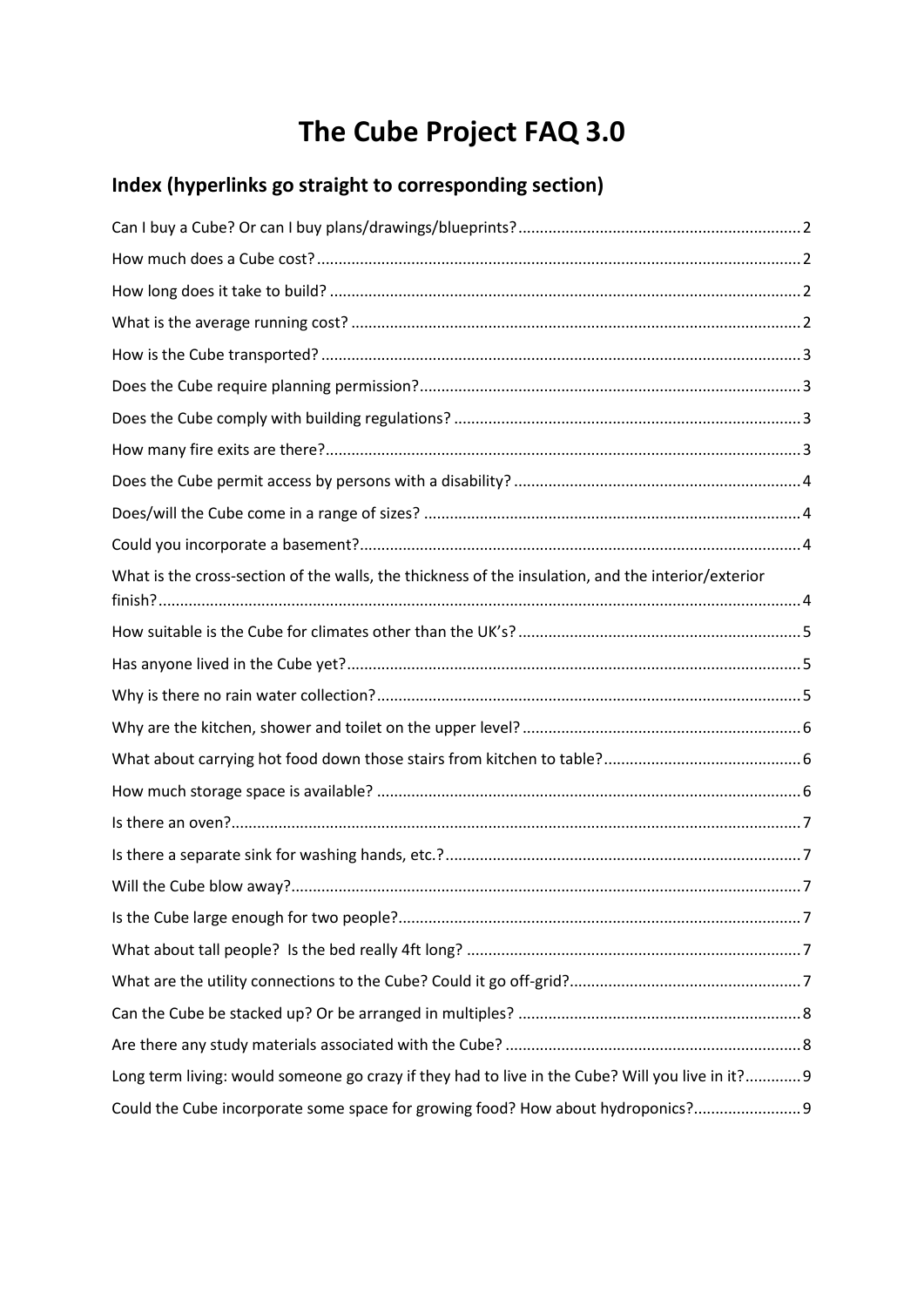# **The Cube Project FAQ 3.0**

# **Index (hyperlinks go straight to corresponding section)**

| What is the cross-section of the walls, the thickness of the insulation, and the interior/exterior |
|----------------------------------------------------------------------------------------------------|
|                                                                                                    |
|                                                                                                    |
|                                                                                                    |
|                                                                                                    |
|                                                                                                    |
|                                                                                                    |
|                                                                                                    |
|                                                                                                    |
|                                                                                                    |
|                                                                                                    |
|                                                                                                    |
|                                                                                                    |
|                                                                                                    |
|                                                                                                    |
| Long term living: would someone go crazy if they had to live in the Cube? Will you live in it? 9   |
| Could the Cube incorporate some space for growing food? How about hydroponics?                     |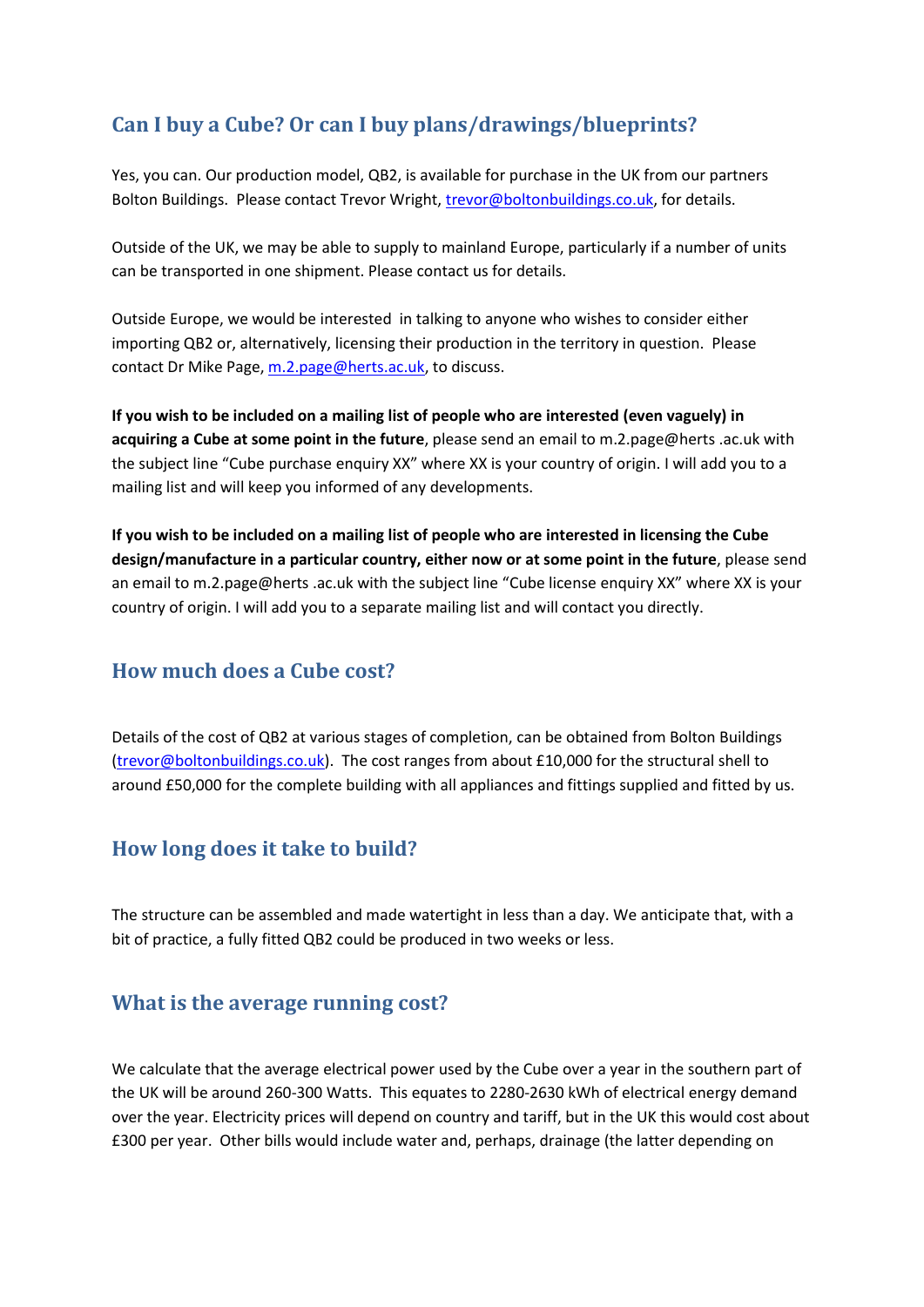# <span id="page-1-0"></span>**Can I buy a Cube? Or can I buy plans/drawings/blueprints?**

Yes, you can. Our production model, QB2, is available for purchase in the UK from our partners Bolton Buildings. Please contact Trevor Wright, [trevor@boltonbuildings.co.uk,](mailto:trevor@boltonbuildings.co.uk) for details.

Outside of the UK, we may be able to supply to mainland Europe, particularly if a number of units can be transported in one shipment. Please contact us for details.

Outside Europe, we would be interested in talking to anyone who wishes to consider either importing QB2 or, alternatively, licensing their production in the territory in question. Please contact Dr Mike Page, [m.2.page@herts.ac.uk,](mailto:m.2.page@herts.ac.uk) to discuss.

**If you wish to be included on a mailing list of people who are interested (even vaguely) in acquiring a Cube at some point in the future**, please send an email to m.2.page@herts .ac.uk with the subject line "Cube purchase enquiry XX" where XX is your country of origin. I will add you to a mailing list and will keep you informed of any developments.

**If you wish to be included on a mailing list of people who are interested in licensing the Cube design/manufacture in a particular country, either now or at some point in the future**, please send an email to m.2.page@herts .ac.uk with the subject line "Cube license enquiry XX" where XX is your country of origin. I will add you to a separate mailing list and will contact you directly.

#### <span id="page-1-1"></span>**How much does a Cube cost?**

Details of the cost of QB2 at various stages of completion, can be obtained from Bolton Buildings [\(trevor@boltonbuildings.co.uk\)](mailto:trevor@boltonbuildings.co.uk). The cost ranges from about £10,000 for the structural shell to around £50,000 for the complete building with all appliances and fittings supplied and fitted by us.

#### <span id="page-1-2"></span>**How long does it take to build?**

The structure can be assembled and made watertight in less than a day. We anticipate that, with a bit of practice, a fully fitted QB2 could be produced in two weeks or less.

#### <span id="page-1-3"></span>**What is the average running cost?**

We calculate that the average electrical power used by the Cube over a year in the southern part of the UK will be around 260-300 Watts. This equates to 2280-2630 kWh of electrical energy demand over the year. Electricity prices will depend on country and tariff, but in the UK this would cost about £300 per year. Other bills would include water and, perhaps, drainage (the latter depending on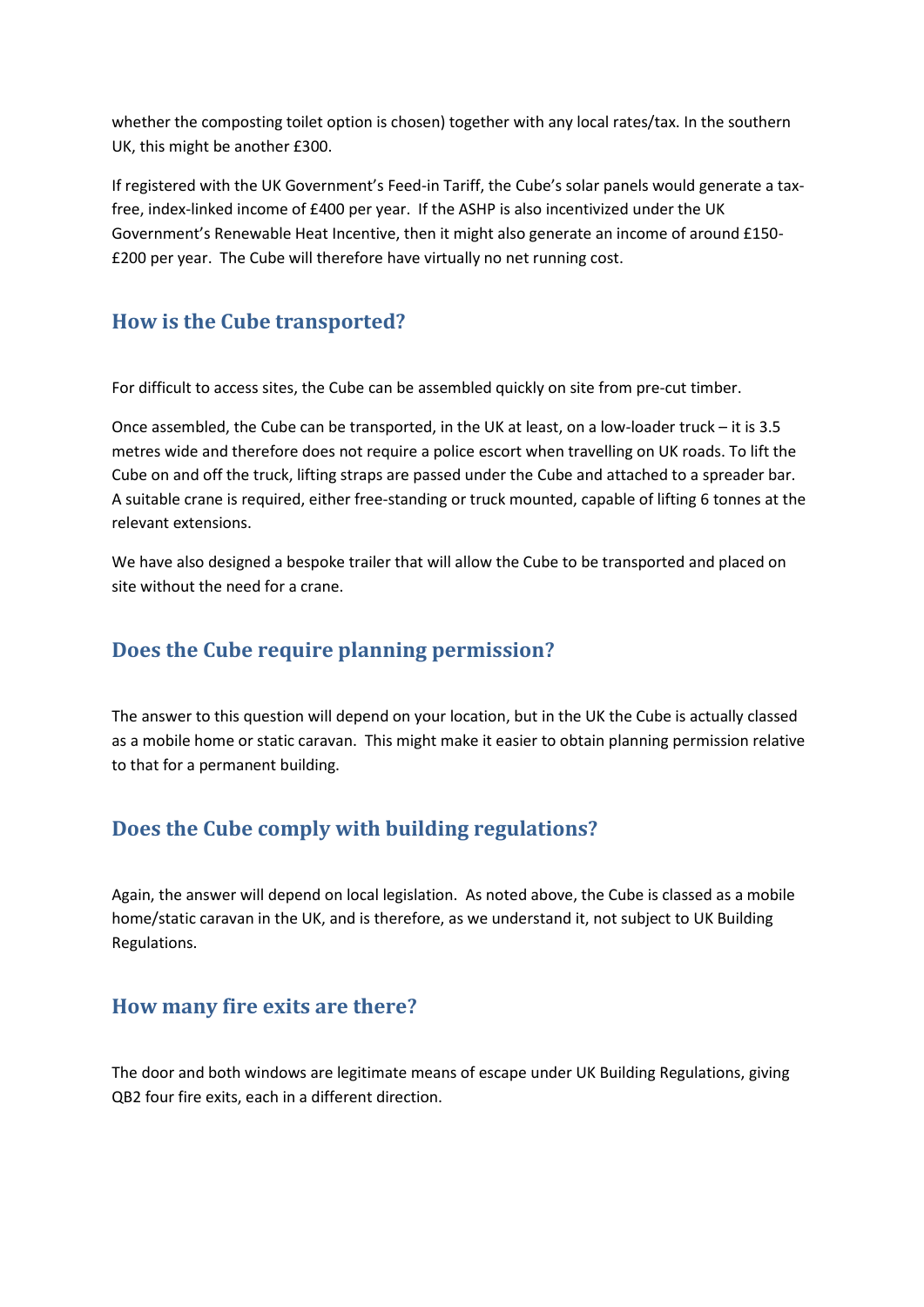whether the composting toilet option is chosen) together with any local rates/tax. In the southern UK, this might be another £300.

If registered with the UK Government's Feed-in Tariff, the Cube's solar panels would generate a taxfree, index-linked income of £400 per year. If the ASHP is also incentivized under the UK Government's Renewable Heat Incentive, then it might also generate an income of around £150- £200 per year. The Cube will therefore have virtually no net running cost.

#### <span id="page-2-0"></span>**How is the Cube transported?**

For difficult to access sites, the Cube can be assembled quickly on site from pre-cut timber.

Once assembled, the Cube can be transported, in the UK at least, on a low-loader truck – it is 3.5 metres wide and therefore does not require a police escort when travelling on UK roads. To lift the Cube on and off the truck, lifting straps are passed under the Cube and attached to a spreader bar. A suitable crane is required, either free-standing or truck mounted, capable of lifting 6 tonnes at the relevant extensions.

We have also designed a bespoke trailer that will allow the Cube to be transported and placed on site without the need for a crane.

#### <span id="page-2-1"></span>**Does the Cube require planning permission?**

The answer to this question will depend on your location, but in the UK the Cube is actually classed as a mobile home or static caravan. This might make it easier to obtain planning permission relative to that for a permanent building.

# <span id="page-2-2"></span>**Does the Cube comply with building regulations?**

Again, the answer will depend on local legislation. As noted above, the Cube is classed as a mobile home/static caravan in the UK, and is therefore, as we understand it, not subject to UK Building Regulations.

## <span id="page-2-3"></span>**How many fire exits are there?**

The door and both windows are legitimate means of escape under UK Building Regulations, giving QB2 four fire exits, each in a different direction.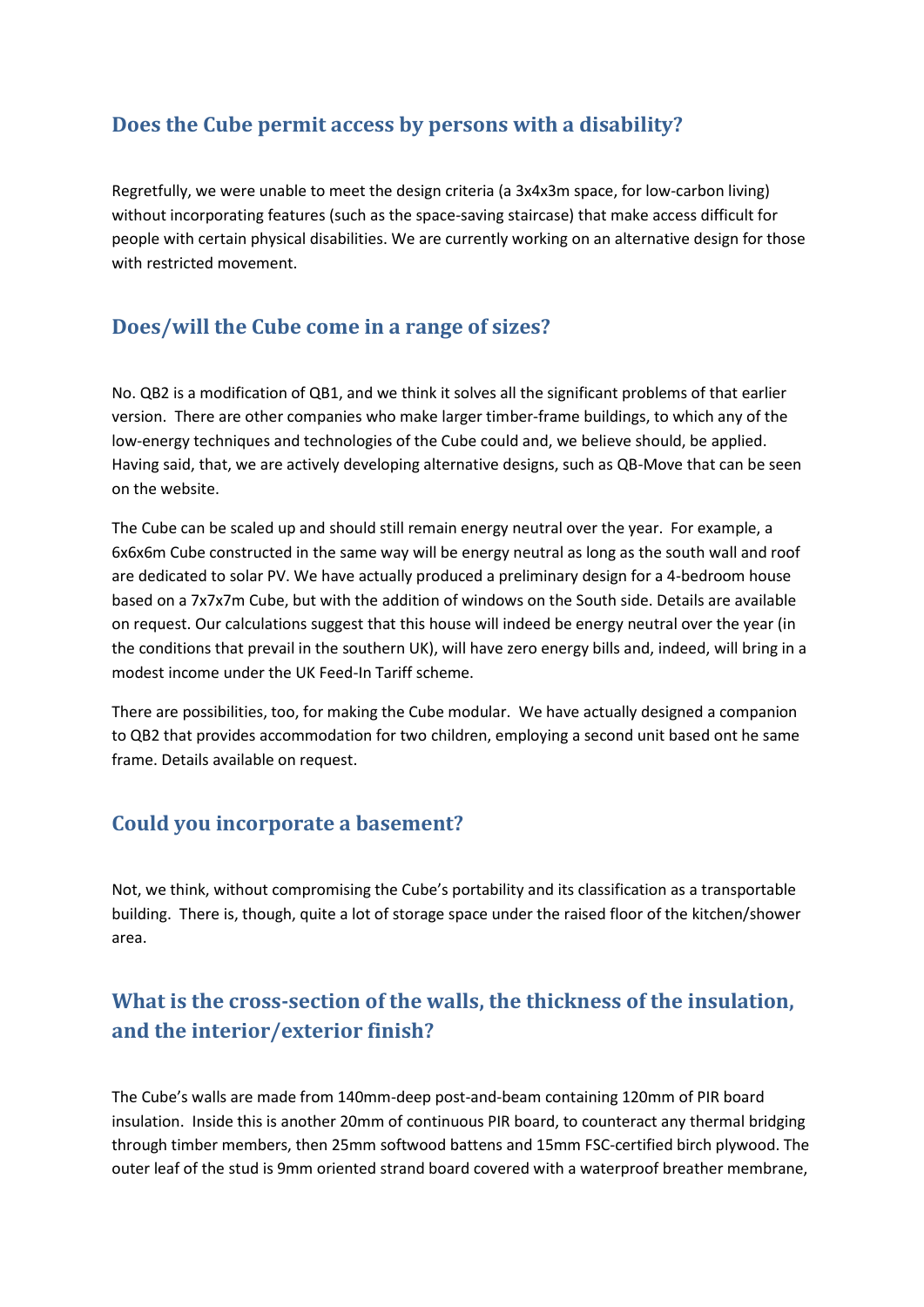## <span id="page-3-0"></span>**Does the Cube permit access by persons with a disability?**

Regretfully, we were unable to meet the design criteria (a 3x4x3m space, for low-carbon living) without incorporating features (such as the space-saving staircase) that make access difficult for people with certain physical disabilities. We are currently working on an alternative design for those with restricted movement.

#### <span id="page-3-1"></span>**Does/will the Cube come in a range of sizes?**

No. QB2 is a modification of QB1, and we think it solves all the significant problems of that earlier version. There are other companies who make larger timber-frame buildings, to which any of the low-energy techniques and technologies of the Cube could and, we believe should, be applied. Having said, that, we are actively developing alternative designs, such as QB-Move that can be seen on the website.

The Cube can be scaled up and should still remain energy neutral over the year. For example, a 6x6x6m Cube constructed in the same way will be energy neutral as long as the south wall and roof are dedicated to solar PV. We have actually produced a preliminary design for a 4-bedroom house based on a 7x7x7m Cube, but with the addition of windows on the South side. Details are available on request. Our calculations suggest that this house will indeed be energy neutral over the year (in the conditions that prevail in the southern UK), will have zero energy bills and, indeed, will bring in a modest income under the UK Feed-In Tariff scheme.

There are possibilities, too, for making the Cube modular. We have actually designed a companion to QB2 that provides accommodation for two children, employing a second unit based ont he same frame. Details available on request.

#### <span id="page-3-2"></span>**Could you incorporate a basement?**

Not, we think, without compromising the Cube's portability and its classification as a transportable building. There is, though, quite a lot of storage space under the raised floor of the kitchen/shower area.

# <span id="page-3-3"></span>**What is the cross-section of the walls, the thickness of the insulation, and the interior/exterior finish?**

The Cube's walls are made from 140mm-deep post-and-beam containing 120mm of PIR board insulation. Inside this is another 20mm of continuous PIR board, to counteract any thermal bridging through timber members, then 25mm softwood battens and 15mm FSC-certified birch plywood. The outer leaf of the stud is 9mm oriented strand board covered with a waterproof breather membrane,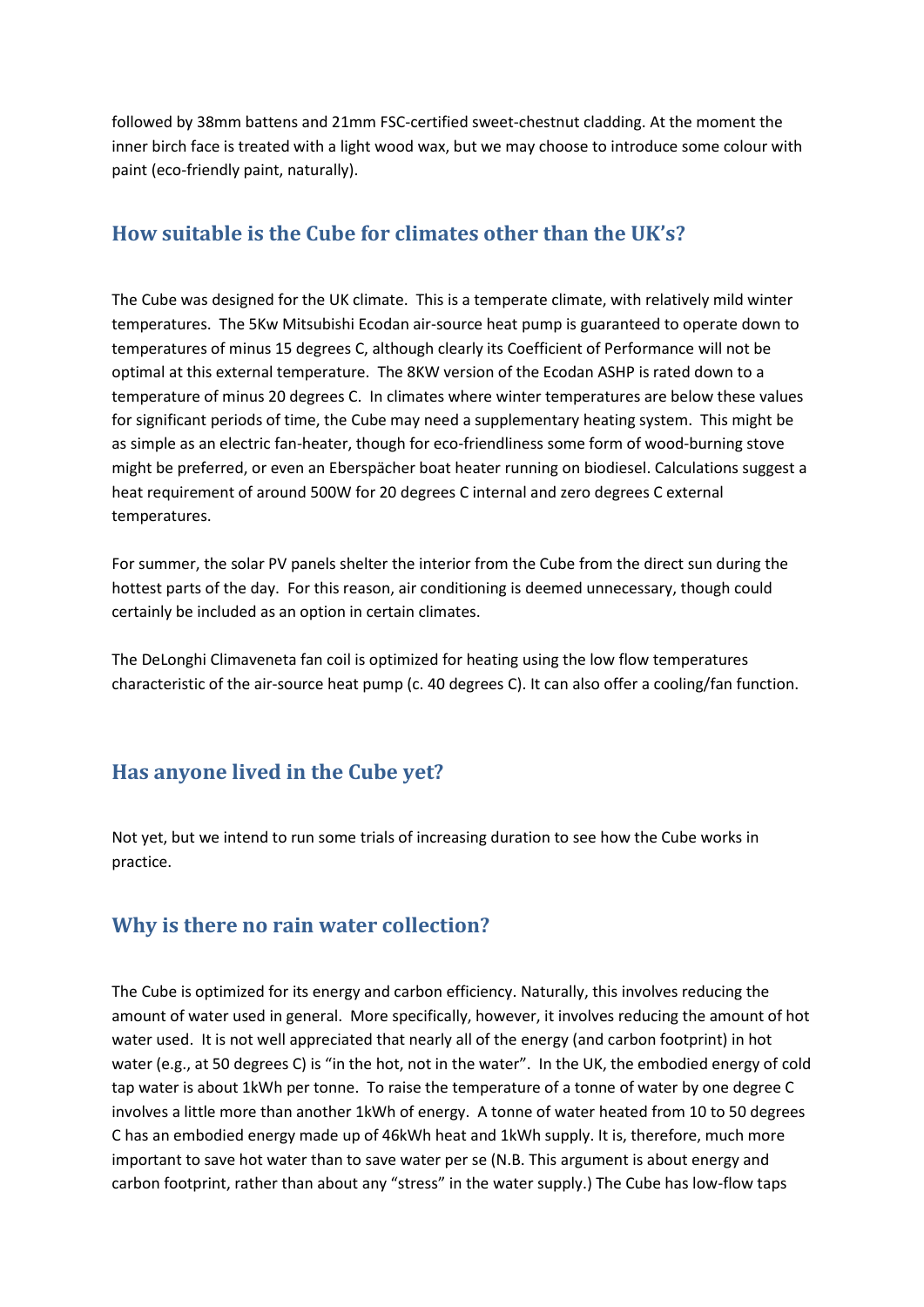followed by 38mm battens and 21mm FSC-certified sweet-chestnut cladding. At the moment the inner birch face is treated with a light wood wax, but we may choose to introduce some colour with paint (eco-friendly paint, naturally).

## <span id="page-4-0"></span>**How suitable is the Cube for climates other than the UK's?**

The Cube was designed for the UK climate. This is a temperate climate, with relatively mild winter temperatures. The 5Kw Mitsubishi Ecodan air-source heat pump is guaranteed to operate down to temperatures of minus 15 degrees C, although clearly its Coefficient of Performance will not be optimal at this external temperature. The 8KW version of the Ecodan ASHP is rated down to a temperature of minus 20 degrees C. In climates where winter temperatures are below these values for significant periods of time, the Cube may need a supplementary heating system. This might be as simple as an electric fan-heater, though for eco-friendliness some form of wood-burning stove might be preferred, or even an Eberspächer boat heater running on biodiesel. Calculations suggest a heat requirement of around 500W for 20 degrees C internal and zero degrees C external temperatures.

For summer, the solar PV panels shelter the interior from the Cube from the direct sun during the hottest parts of the day. For this reason, air conditioning is deemed unnecessary, though could certainly be included as an option in certain climates.

The DeLonghi Climaveneta fan coil is optimized for heating using the low flow temperatures characteristic of the air-source heat pump (c. 40 degrees C). It can also offer a cooling/fan function.

#### <span id="page-4-1"></span>**Has anyone lived in the Cube yet?**

Not yet, but we intend to run some trials of increasing duration to see how the Cube works in practice.

## <span id="page-4-2"></span>**Why is there no rain water collection?**

The Cube is optimized for its energy and carbon efficiency. Naturally, this involves reducing the amount of water used in general. More specifically, however, it involves reducing the amount of hot water used. It is not well appreciated that nearly all of the energy (and carbon footprint) in hot water (e.g., at 50 degrees C) is "in the hot, not in the water". In the UK, the embodied energy of cold tap water is about 1kWh per tonne. To raise the temperature of a tonne of water by one degree C involves a little more than another 1kWh of energy. A tonne of water heated from 10 to 50 degrees C has an embodied energy made up of 46kWh heat and 1kWh supply. It is, therefore, much more important to save hot water than to save water per se (N.B. This argument is about energy and carbon footprint, rather than about any "stress" in the water supply.) The Cube has low-flow taps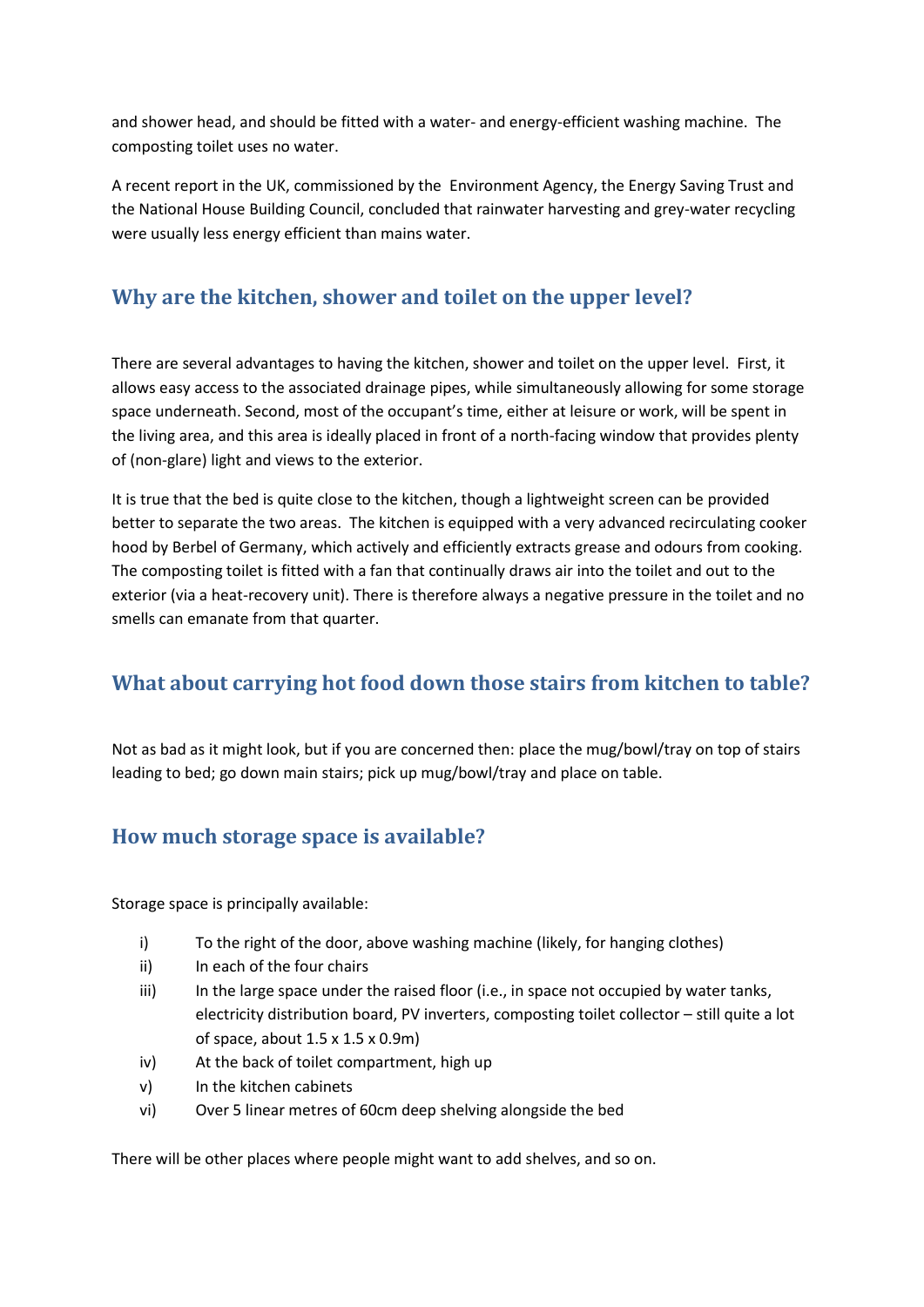and shower head, and should be fitted with a water- and energy-efficient washing machine. The composting toilet uses no water.

A recent report in the UK, commissioned by the Environment Agency, the Energy Saving Trust and the National House Building Council, concluded that rainwater harvesting and grey-water recycling were usually less energy efficient than mains water.

## <span id="page-5-0"></span>**Why are the kitchen, shower and toilet on the upper level?**

There are several advantages to having the kitchen, shower and toilet on the upper level. First, it allows easy access to the associated drainage pipes, while simultaneously allowing for some storage space underneath. Second, most of the occupant's time, either at leisure or work, will be spent in the living area, and this area is ideally placed in front of a north-facing window that provides plenty of (non-glare) light and views to the exterior.

It is true that the bed is quite close to the kitchen, though a lightweight screen can be provided better to separate the two areas. The kitchen is equipped with a very advanced recirculating cooker hood by Berbel of Germany, which actively and efficiently extracts grease and odours from cooking. The composting toilet is fitted with a fan that continually draws air into the toilet and out to the exterior (via a heat-recovery unit). There is therefore always a negative pressure in the toilet and no smells can emanate from that quarter.

## <span id="page-5-1"></span>**What about carrying hot food down those stairs from kitchen to table?**

Not as bad as it might look, but if you are concerned then: place the mug/bowl/tray on top of stairs leading to bed; go down main stairs; pick up mug/bowl/tray and place on table.

## <span id="page-5-2"></span>**How much storage space is available?**

Storage space is principally available:

- i) To the right of the door, above washing machine (likely, for hanging clothes)
- ii) In each of the four chairs
- iii) In the large space under the raised floor (i.e., in space not occupied by water tanks, electricity distribution board, PV inverters, composting toilet collector – still quite a lot of space, about 1.5 x 1.5 x 0.9m)
- iv) At the back of toilet compartment, high up
- v) In the kitchen cabinets
- vi) Over 5 linear metres of 60cm deep shelving alongside the bed

There will be other places where people might want to add shelves, and so on.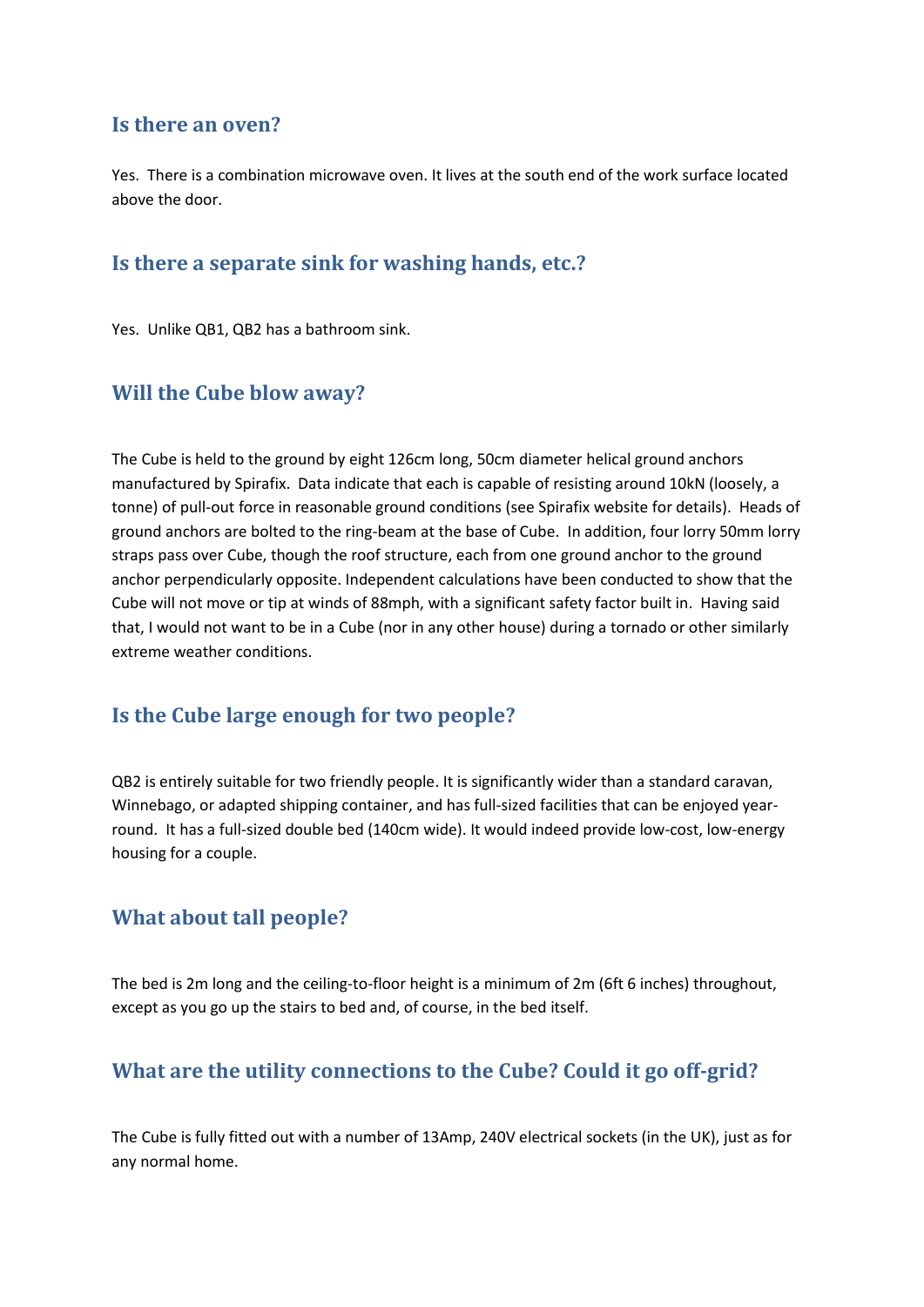#### <span id="page-6-0"></span>**Is there an oven?**

Yes. There is a combination microwave oven. It lives at the south end of the work surface located above the door.

#### <span id="page-6-1"></span>**Is there a separate sink for washing hands, etc.?**

Yes. Unlike QB1, QB2 has a bathroom sink.

#### <span id="page-6-2"></span>**Will the Cube blow away?**

The Cube is held to the ground by eight 126cm long, 50cm diameter helical ground anchors manufactured by Spirafix. Data indicate that each is capable of resisting around 10kN (loosely, a tonne) of pull-out force in reasonable ground conditions (see Spirafix website for details). Heads of ground anchors are bolted to the ring-beam at the base of Cube. In addition, four lorry 50mm lorry straps pass over Cube, though the roof structure, each from one ground anchor to the ground anchor perpendicularly opposite. Independent calculations have been conducted to show that the Cube will not move or tip at winds of 88mph, with a significant safety factor built in. Having said that, I would not want to be in a Cube (nor in any other house) during a tornado or other similarly extreme weather conditions.

#### <span id="page-6-3"></span>**Is the Cube large enough for two people?**

QB2 is entirely suitable for two friendly people. It is significantly wider than a standard caravan, Winnebago, or adapted shipping container, and has full-sized facilities that can be enjoyed yearround. It has a full-sized double bed (140cm wide). It would indeed provide low-cost, low-energy housing for a couple.

## <span id="page-6-4"></span>**What about tall people?**

The bed is 2m long and the ceiling-to-floor height is a minimum of 2m (6ft 6 inches) throughout, except as you go up the stairs to bed and, of course, in the bed itself.

## <span id="page-6-5"></span>**What are the utility connections to the Cube? Could it go off-grid?**

The Cube is fully fitted out with a number of 13Amp, 240V electrical sockets (in the UK), just as for any normal home.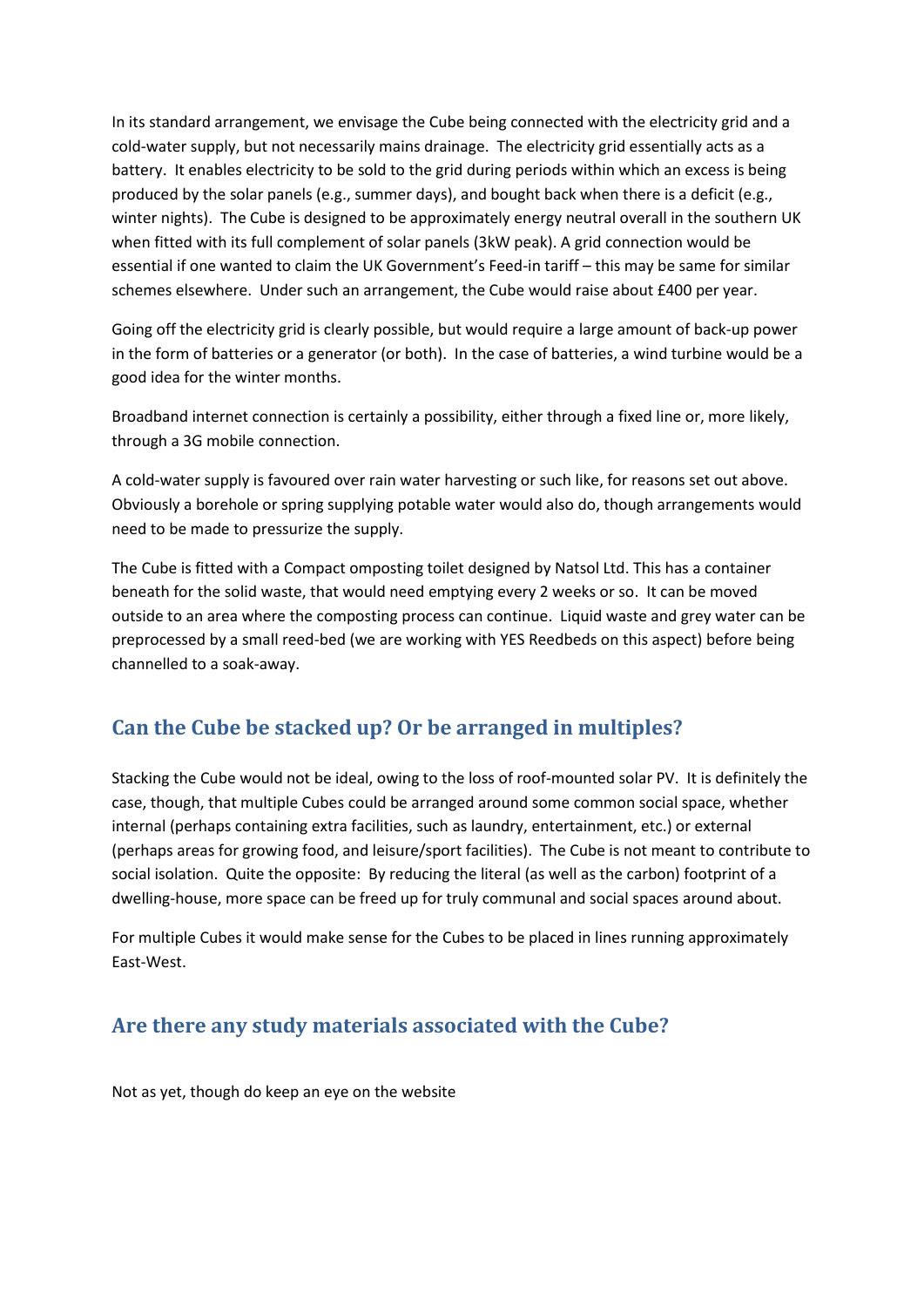In its standard arrangement, we envisage the Cube being connected with the electricity grid and a cold-water supply, but not necessarily mains drainage. The electricity grid essentially acts as a battery. It enables electricity to be sold to the grid during periods within which an excess is being produced by the solar panels (e.g., summer days), and bought back when there is a deficit (e.g., winter nights). The Cube is designed to be approximately energy neutral overall in the southern UK when fitted with its full complement of solar panels (3kW peak). A grid connection would be essential if one wanted to claim the UK Government's Feed-in tariff – this may be same for similar schemes elsewhere. Under such an arrangement, the Cube would raise about £400 per year.

Going off the electricity grid is clearly possible, but would require a large amount of back-up power in the form of batteries or a generator (or both). In the case of batteries, a wind turbine would be a good idea for the winter months.

Broadband internet connection is certainly a possibility, either through a fixed line or, more likely, through a 3G mobile connection.

A cold-water supply is favoured over rain water harvesting or such like, for reasons set out above. Obviously a borehole or spring supplying potable water would also do, though arrangements would need to be made to pressurize the supply.

The Cube is fitted with a Compact omposting toilet designed by Natsol Ltd. This has a container beneath for the solid waste, that would need emptying every 2 weeks or so. It can be moved outside to an area where the composting process can continue. Liquid waste and grey water can be preprocessed by a small reed-bed (we are working with YES Reedbeds on this aspect) before being channelled to a soak-away.

## <span id="page-7-0"></span>**Can the Cube be stacked up? Or be arranged in multiples?**

Stacking the Cube would not be ideal, owing to the loss of roof-mounted solar PV. It is definitely the case, though, that multiple Cubes could be arranged around some common social space, whether internal (perhaps containing extra facilities, such as laundry, entertainment, etc.) or external (perhaps areas for growing food, and leisure/sport facilities). The Cube is not meant to contribute to social isolation. Quite the opposite: By reducing the literal (as well as the carbon) footprint of a dwelling-house, more space can be freed up for truly communal and social spaces around about.

For multiple Cubes it would make sense for the Cubes to be placed in lines running approximately East-West.

## <span id="page-7-1"></span>**Are there any study materials associated with the Cube?**

Not as yet, though do keep an eye on the website